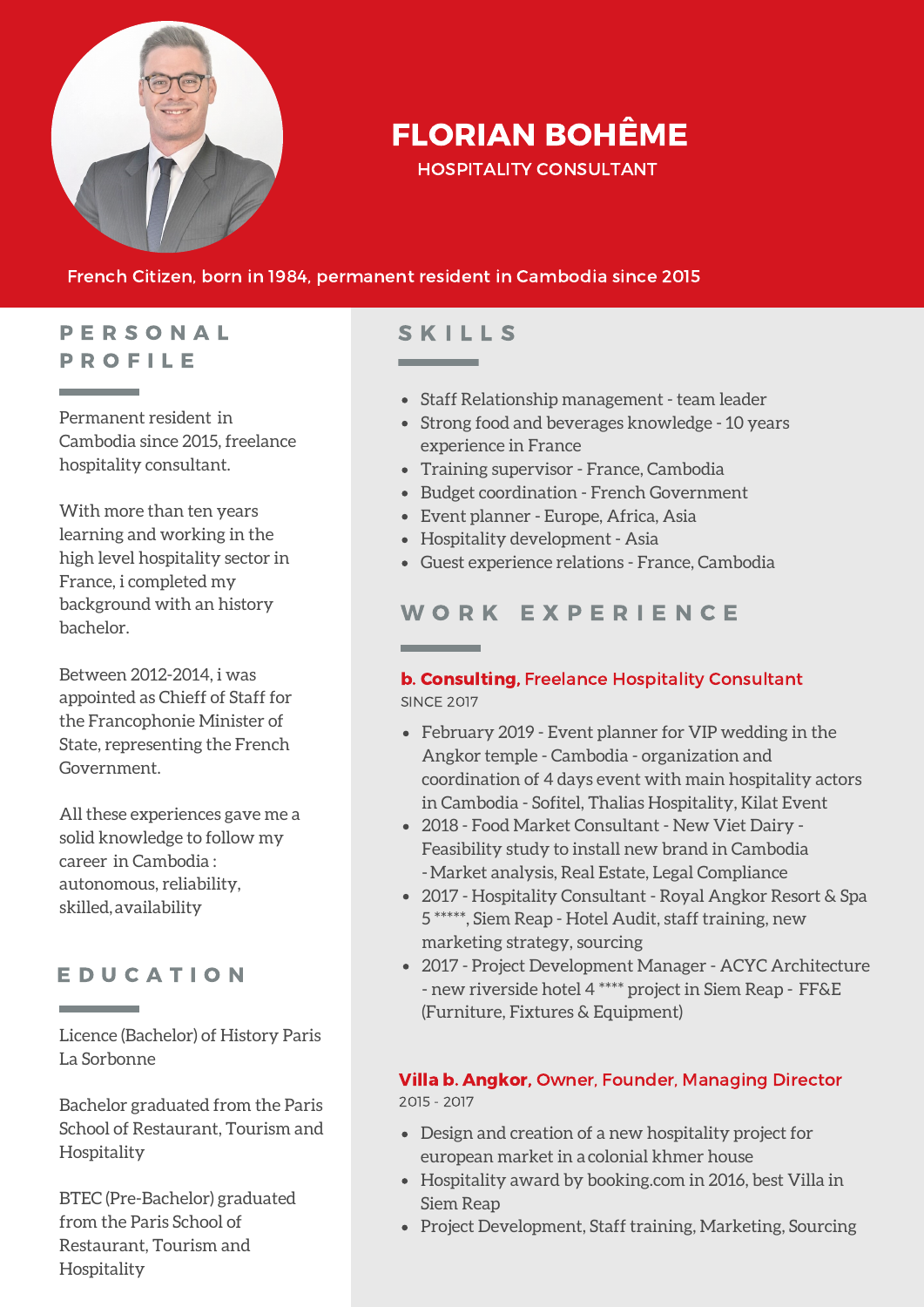

# FLORIAN BOHÊME

HOSPITALITY CONSULTANT

#### French Citizen, born in 1984, permanent resident in Cambodia since 2015

## P E R S O N A L P R O F I L E

**Contract Contract** 

Permanent resident in Cambodia since 2015, freelance hospitality consultant.

With more than ten years learning and working in the high level hospitality sector in France, i completed my background with an history bachelor.

Between 2012-2014, i was appointed as Chieff of Staff for the Francophonie Minister of State, representing the French Government.

All these experiences gave me a solid knowledge to follow my career in Cambodia : autonomous, reliability, skilled, availability

### E D U C A T I O N

Licence (Bachelor) of History Paris La Sorbonne

Bachelor graduated from the Paris School of Restaurant, Tourism and Hospitality

BTEC (Pre-Bachelor) graduated from the Paris School of Restaurant, Tourism and Hospitality

# **SKILLS**

- Staff Relationship management team leader
- Strong food and beverages knowledge 10 years experience in France
- Training supervisor France, Cambodia
- Budget coordination French Government
- Event planner Europe, Africa, Asia
- Hospitality development Asia
- Guest experience relations France, Cambodia

## WORK EXPERIENCE

#### b. Consulting, Freelance Hospitality Consultant SINCE 2017

- February 2019 Event planner for VIP wedding in the Angkor temple - Cambodia - organization and coordination of 4 days event with main hospitality actors in Cambodia - Sofitel, Thalias Hospitality, Kilat Event
- 2018 Food Market Consultant New Viet Dairy Feasibility study to install new brand in Cambodia -Market analysis, Real Estate, Legal Compliance
- 2017 Hospitality Consultant Royal Angkor Resort & Spa 5 \*\*\*\*\*, Siem Reap - Hotel Audit, staff training, new marketing strategy, sourcing
- 2017 Project Development Manager ACYC Architecture - new riverside hotel 4 \*\*\*\* project in Siem Reap - FF&E (Furniture, Fixtures & Equipment)

#### Villa b. Angkor, Owner, Founder, Managing Director 2015 - 2017

- Design and creation of a new hospitality project for european market in a colonial khmer house
- Hospitality award by booking.com in 2016, best Villa in Siem Reap
- Project Development, Staff training, Marketing, Sourcing